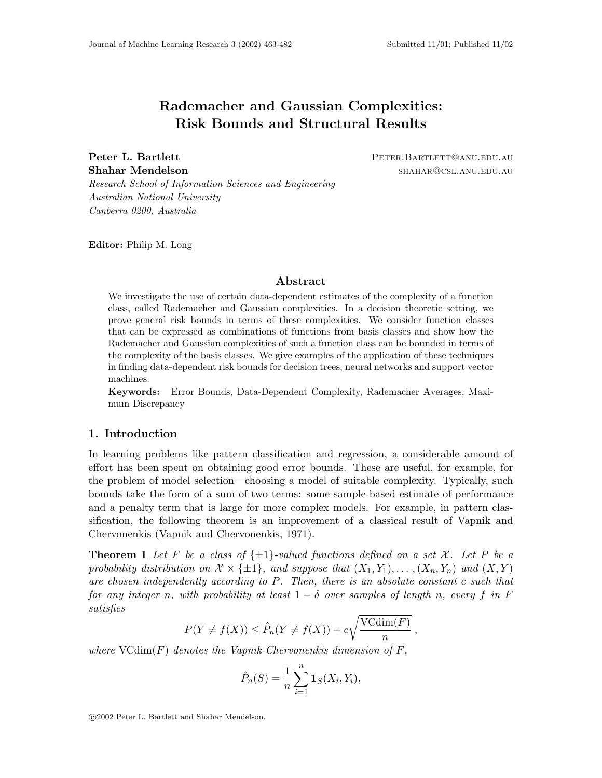# **Rademacher and Gaussian Complexities: Risk Bounds and Structural Results**

**Peter L. Bartlett** PETER.BARTLETT@ANU.EDU.AU **Shahar Mendelson** shahar and shahar shahar shahar shahar shahar shahar auto-

Research School of Information Sciences and Engineering Australian National University Canberra 0200, Australia

**Editor:** Philip M. Long

## **Abstract**

We investigate the use of certain data-dependent estimates of the complexity of a function class, called Rademacher and Gaussian complexities. In a decision theoretic setting, we prove general risk bounds in terms of these complexities. We consider function classes that can be expressed as combinations of functions from basis classes and show how the Rademacher and Gaussian complexities of such a function class can be bounded in terms of the complexity of the basis classes. We give examples of the application of these techniques in finding data-dependent risk bounds for decision trees, neural networks and support vector machines.

**Keywords:** Error Bounds, Data-Dependent Complexity, Rademacher Averages, Maximum Discrepancy

## **1. Introduction**

In learning problems like pattern classification and regression, a considerable amount of effort has been spent on obtaining good error bounds. These are useful, for example, for the problem of model selection—choosing a model of suitable complexity. Typically, such bounds take the form of a sum of two terms: some sample-based estimate of performance and a penalty term that is large for more complex models. For example, in pattern classification, the following theorem is an improvement of a classical result of Vapnik and Chervonenkis (Vapnik and Chervonenkis, 1971).

**Theorem 1** Let F be a class of  $\{\pm 1\}$ -valued functions defined on a set X. Let P be a probability distribution on  $\mathcal{X} \times \{\pm 1\}$ , and suppose that  $(X_1, Y_1), \ldots, (X_n, Y_n)$  and  $(X, Y)$ are chosen independently according to P. Then, there is an absolute constant c such that for any integer n, with probability at least  $1 - \delta$  over samples of length n, every f in F satisfies

$$
P(Y \neq f(X)) \leq \hat{P}_n(Y \neq f(X)) + c\sqrt{\frac{\text{VCdim}(F)}{n}},
$$

where  $\text{VCdim}(F)$  denotes the Vapnik-Chervonenkis dimension of F,

$$
\hat{P}_n(S) = \frac{1}{n} \sum_{i=1}^n \mathbf{1}_S(X_i, Y_i),
$$

°c 2002 Peter L. Bartlett and Shahar Mendelson.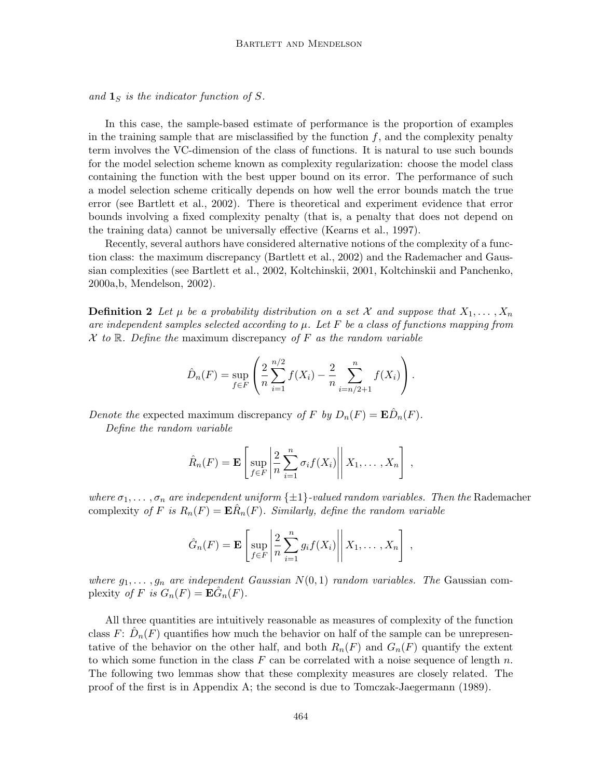and  $\mathbf{1}_S$  is the indicator function of S.

In this case, the sample-based estimate of performance is the proportion of examples in the training sample that are misclassified by the function  $f$ , and the complexity penalty term involves the VC-dimension of the class of functions. It is natural to use such bounds for the model selection scheme known as complexity regularization: choose the model class containing the function with the best upper bound on its error. The performance of such a model selection scheme critically depends on how well the error bounds match the true error (see Bartlett et al., 2002). There is theoretical and experiment evidence that error bounds involving a fixed complexity penalty (that is, a penalty that does not depend on the training data) cannot be universally effective (Kearns et al., 1997).

Recently, several authors have considered alternative notions of the complexity of a function class: the maximum discrepancy (Bartlett et al., 2002) and the Rademacher and Gaussian complexities (see Bartlett et al., 2002, Koltchinskii, 2001, Koltchinskii and Panchenko, 2000a,b, Mendelson, 2002).

**Definition 2** Let  $\mu$  be a probability distribution on a set X and suppose that  $X_1, \ldots, X_n$ are independent samples selected according to  $\mu$ . Let F be a class of functions mapping from  $X$  to  $\mathbb R$ . Define the maximum discrepancy of  $F$  as the random variable

$$
\hat{D}_n(F) = \sup_{f \in F} \left( \frac{2}{n} \sum_{i=1}^{n/2} f(X_i) - \frac{2}{n} \sum_{i=n/2+1}^{n} f(X_i) \right).
$$

Denote the expected maximum discrepancy of F by  $D_n(F) = \mathbf{E} D_n(F)$ .

Define the random variable

$$
\hat{R}_n(F) = \mathbf{E}\left[\sup_{f \in F} \left| \frac{2}{n} \sum_{i=1}^n \sigma_i f(X_i) \right| \middle| X_1, \dots, X_n \right],
$$

where  $\sigma_1, \ldots, \sigma_n$  are independent uniform  $\{\pm 1\}$ -valued random variables. Then the Rademacher complexity of F is  $R_n(F) = \mathbf{E} R_n(F)$ . Similarly, define the random variable

$$
\hat{G}_n(F) = \mathbf{E}\left[\sup_{f \in F} \left| \frac{2}{n} \sum_{i=1}^n g_i f(X_i) \right| \middle| X_1, \dots, X_n \right],
$$

where  $g_1, \ldots, g_n$  are independent Gaussian  $N(0, 1)$  random variables. The Gaussian complexity of F is  $G_n(F) = \mathbf{E} \tilde{G}_n(F)$ .

All three quantities are intuitively reasonable as measures of complexity of the function class  $F: D_n(F)$  quantifies how much the behavior on half of the sample can be unrepresentative of the behavior on the other half, and both  $R_n(F)$  and  $G_n(F)$  quantify the extent to which some function in the class F can be correlated with a noise sequence of length n. The following two lemmas show that these complexity measures are closely related. The proof of the first is in Appendix A; the second is due to Tomczak-Jaegermann (1989).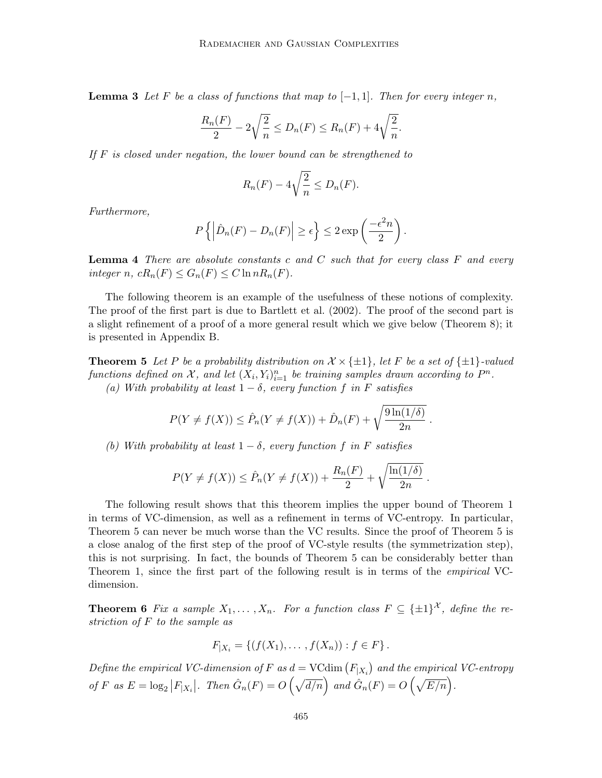**Lemma 3** Let F be a class of functions that map to  $[-1, 1]$ . Then for every integer n,

$$
\frac{R_n(F)}{2} - 2\sqrt{\frac{2}{n}} \le D_n(F) \le R_n(F) + 4\sqrt{\frac{2}{n}}.
$$

If  $F$  is closed under negation, the lower bound can be strengthened to

$$
R_n(F) - 4\sqrt{\frac{2}{n}} \le D_n(F).
$$

Furthermore,

$$
P\left\{ \left| \hat{D}_n(F) - D_n(F) \right| \ge \epsilon \right\} \le 2 \exp\left(\frac{-\epsilon^2 n}{2}\right).
$$

**Lemma 4** There are absolute constants c and C such that for every class F and every integer n,  $cR_n(F) \leq G_n(F) \leq C \ln nR_n(F)$ .

The following theorem is an example of the usefulness of these notions of complexity. The proof of the first part is due to Bartlett et al. (2002). The proof of the second part is a slight refinement of a proof of a more general result which we give below (Theorem 8); it is presented in Appendix B.

**Theorem 5** Let P be a probability distribution on  $\mathcal{X} \times \{\pm 1\}$ , let F be a set of  $\{\pm 1\}$ -valued functions defined on X, and let  $(X_i, Y_i)_{i=1}^n$  be training samples drawn according to  $P^n$ . (a) With probability at least  $1 - \delta$ , every function f in F satisfies

$$
P(Y \neq f(X)) \leq \hat{P}_n(Y \neq f(X)) + \hat{D}_n(F) + \sqrt{\frac{9\ln(1/\delta)}{2n}}.
$$

(b) With probability at least  $1 - \delta$ , every function f in F satisfies

$$
P(Y \neq f(X)) \leq \hat{P}_n(Y \neq f(X)) + \frac{R_n(F)}{2} + \sqrt{\frac{\ln(1/\delta)}{2n}}.
$$

The following result shows that this theorem implies the upper bound of Theorem 1 in terms of VC-dimension, as well as a refinement in terms of VC-entropy. In particular, Theorem 5 can never be much worse than the VC results. Since the proof of Theorem 5 is a close analog of the first step of the proof of VC-style results (the symmetrization step), this is not surprising. In fact, the bounds of Theorem 5 can be considerably better than Theorem 1, since the first part of the following result is in terms of the *empirical* VCdimension.

**Theorem 6** Fix a sample  $X_1, \ldots, X_n$ . For a function class  $F \subseteq {\pm 1}^{\mathcal{X}}$ , define the restriction of F to the sample as

$$
F_{|X_i} = \{ (f(X_1), \dots, f(X_n)) : f \in F \}.
$$

Define the empirical VC-dimension of F as  $d = VCdim(F_{|X_i})$  and the empirical VC-entropy of F as  $E = \log_2 |F_{|X_i}|$ . Then  $\hat{G}_n(F) = O\left(\sqrt{d/n}\right)$  and  $\hat{G}_n(F) = O\left(\sqrt{E/n}\right)$ .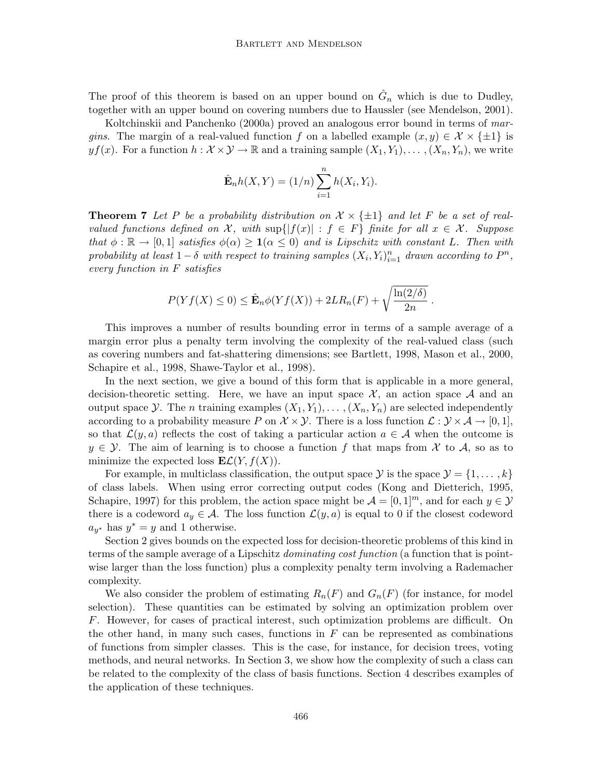The proof of this theorem is based on an upper bound on  $\hat{G}_n$  which is due to Dudley, together with an upper bound on covering numbers due to Haussler (see Mendelson, 2001).

Koltchinskii and Panchenko (2000a) proved an analogous error bound in terms of margins. The margin of a real-valued function f on a labelled example  $(x, y) \in \mathcal{X} \times \{\pm 1\}$  is  $yf(x)$ . For a function  $h: \mathcal{X} \times \mathcal{Y} \to \mathbb{R}$  and a training sample  $(X_1, Y_1), \dots, (X_n, Y_n)$ , we write

$$
\hat{\mathbf{E}}_n h(X,Y) = (1/n) \sum_{i=1}^n h(X_i, Y_i).
$$

**Theorem 7** Let P be a probability distribution on  $\mathcal{X} \times \{\pm 1\}$  and let F be a set of realvalued functions defined on X, with  $\sup\{|f(x)| : f \in F\}$  finite for all  $x \in \mathcal{X}$ . Suppose that  $\phi : \mathbb{R} \to [0,1]$  satisfies  $\phi(\alpha) \geq \mathbf{1}(\alpha \leq 0)$  and is Lipschitz with constant L. Then with probability at least  $1-\delta$  with respect to training samples  $(X_i, Y_i)_{i=1}^n$  drawn according to  $P^n$ , every function in F satisfies

$$
P(Yf(X) \leq 0) \leq \hat{\mathbf{E}}_n \phi(Yf(X)) + 2LR_n(F) + \sqrt{\frac{\ln(2/\delta)}{2n}}.
$$

This improves a number of results bounding error in terms of a sample average of a margin error plus a penalty term involving the complexity of the real-valued class (such as covering numbers and fat-shattering dimensions; see Bartlett, 1998, Mason et al., 2000, Schapire et al., 1998, Shawe-Taylor et al., 1998).

In the next section, we give a bound of this form that is applicable in a more general, decision-theoretic setting. Here, we have an input space  $X$ , an action space  $A$  and an output space Y. The n training examples  $(X_1, Y_1), \ldots, (X_n, Y_n)$  are selected independently according to a probability measure P on  $\mathcal{X} \times \mathcal{Y}$ . There is a loss function  $\mathcal{L} : \mathcal{Y} \times \mathcal{A} \to [0, 1],$ so that  $\mathcal{L}(y, a)$  reflects the cost of taking a particular action  $a \in \mathcal{A}$  when the outcome is  $y \in \mathcal{Y}$ . The aim of learning is to choose a function f that maps from X to A, so as to minimize the expected loss  $\mathbf{E}\mathcal{L}(Y, f(X)).$ 

For example, in multiclass classification, the output space  $\mathcal{Y}$  is the space  $\mathcal{Y} = \{1, \ldots, k\}$ of class labels. When using error correcting output codes (Kong and Dietterich, 1995, Schapire, 1997) for this problem, the action space might be  $\mathcal{A} = [0, 1]^m$ , and for each  $y \in \mathcal{Y}$ there is a codeword  $a_y \in \mathcal{A}$ . The loss function  $\mathcal{L}(y, a)$  is equal to 0 if the closest codeword  $a_{y^*}$  has  $y^* = y$  and 1 otherwise.

Section 2 gives bounds on the expected loss for decision-theoretic problems of this kind in terms of the sample average of a Lipschitz *dominating cost function* (a function that is pointwise larger than the loss function) plus a complexity penalty term involving a Rademacher complexity.

We also consider the problem of estimating  $R_n(F)$  and  $G_n(F)$  (for instance, for model selection). These quantities can be estimated by solving an optimization problem over F. However, for cases of practical interest, such optimization problems are difficult. On the other hand, in many such cases, functions in  $F$  can be represented as combinations of functions from simpler classes. This is the case, for instance, for decision trees, voting methods, and neural networks. In Section 3, we show how the complexity of such a class can be related to the complexity of the class of basis functions. Section 4 describes examples of the application of these techniques.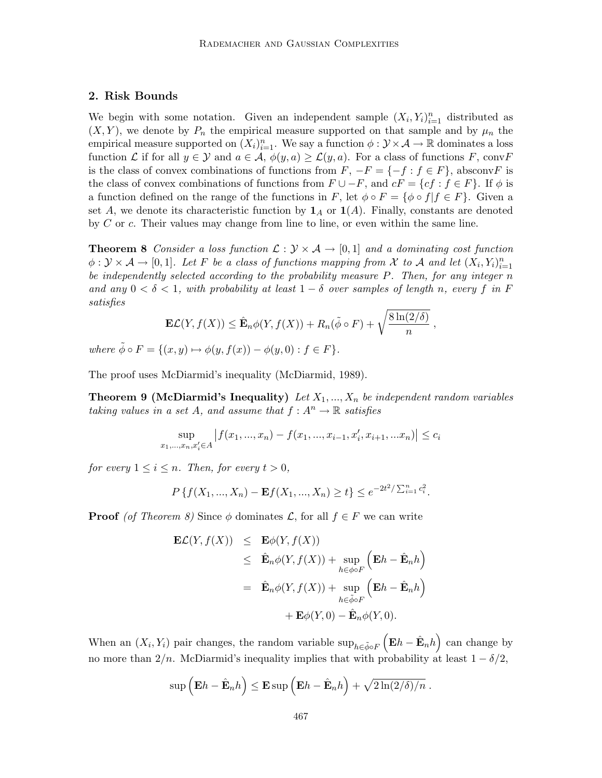# **2. Risk Bounds**

We begin with some notation. Given an independent sample  $(X_i, Y_i)_{i=1}^n$  distributed as  $(X, Y)$ , we denote by  $P_n$  the empirical measure supported on that sample and by  $\mu_n$  the empirical measure supported on  $(X_i)_{i=1}^n$ . We say a function  $\phi: \mathcal{Y} \times \mathcal{A} \to \mathbb{R}$  dominates a loss function L if for all  $y \in \mathcal{Y}$  and  $a \in \mathcal{A}, \phi(y, a) \geq \mathcal{L}(y, a)$ . For a class of functions F, convF is the class of convex combinations of functions from  $F, -F = \{-f : f \in F\}$ , absconvF is the class of convex combinations of functions from  $F \cup -F$ , and  $cF = \{cf : f \in F\}$ . If  $\phi$  is a function defined on the range of the functions in F, let  $\phi \circ F = {\phi \circ f | f \in F}$ . Given a set A, we denote its characteristic function by  $\mathbf{1}_A$  or  $\mathbf{1}(A)$ . Finally, constants are denoted by C or c. Their values may change from line to line, or even within the same line.

**Theorem 8** Consider a loss function  $\mathcal{L}: \mathcal{Y} \times \mathcal{A} \rightarrow [0,1]$  and a dominating cost function  $\phi: \mathcal{Y} \times \mathcal{A} \to [0,1].$  Let F be a class of functions mapping from X to A and let  $(X_i, Y_i)_{i=1}^n$ be independently selected according to the probability measure  $P$ . Then, for any integer  $n$ and any  $0 < \delta < 1$ , with probability at least  $1 - \delta$  over samples of length n, every f in F satisfies

$$
\mathbf{E}\mathcal{L}(Y, f(X)) \leq \hat{\mathbf{E}}_n \phi(Y, f(X)) + R_n(\tilde{\phi} \circ F) + \sqrt{\frac{8\ln(2/\delta)}{n}},
$$
  

$$
\tilde{\phi} \circ F = f(x, y) + \phi(y, f(x)) - \phi(y, 0) \cdot f \in F.
$$

where  $\phi \circ F = \{(x, y) \mapsto \phi(y, f(x)) - \phi(y, 0) : f \in F\}.$ 

The proof uses McDiarmid's inequality (McDiarmid, 1989).

**Theorem 9 (McDiarmid's Inequality)** Let  $X_1, ..., X_n$  be independent random variables taking values in a set A, and assume that  $f: A^n \to \mathbb{R}$  satisfies

$$
\sup_{x_1,\dots,x_n,x'_i\in A} |f(x_1,\dots,x_n)-f(x_1,\dots,x_{i-1},x'_i,x_{i+1},\dots,x_n)| \le c_i
$$

for every  $1 \leq i \leq n$ . Then, for every  $t > 0$ ,

$$
P\{f(X_1, ..., X_n) - \mathbf{E}f(X_1, ..., X_n) \ge t\} \le e^{-2t^2/\sum_{i=1}^n c_i^2}.
$$

**Proof** (of Theorem 8) Since  $\phi$  dominates  $\mathcal{L}$ , for all  $f \in F$  we can write

$$
\mathbf{E}\mathcal{L}(Y, f(X)) \leq \mathbf{E}\phi(Y, f(X))
$$
  
\n
$$
\leq \hat{\mathbf{E}}_n \phi(Y, f(X)) + \sup_{h \in \phi \circ F} (\mathbf{E}h - \hat{\mathbf{E}}_n h)
$$
  
\n
$$
= \hat{\mathbf{E}}_n \phi(Y, f(X)) + \sup_{h \in \tilde{\phi} \circ F} (\mathbf{E}h - \hat{\mathbf{E}}_n h)
$$
  
\n
$$
+ \mathbf{E}\phi(Y, 0) - \hat{\mathbf{E}}_n \phi(Y, 0).
$$

When an  $(X_i, Y_i)$  pair changes, the random variable  $\sup_{h \in \tilde{\phi} \circ F} (\mathbf{E}h - \hat{\mathbf{E}}_n h)$  can change by no more than  $2/n$ . McDiarmid's inequality implies that with probability at least  $1 - \delta/2$ ,

$$
\sup\left(\mathbf{E}h-\hat{\mathbf{E}}_nh\right)\leq \mathbf{E}\sup\left(\mathbf{E}h-\hat{\mathbf{E}}_nh\right)+\sqrt{2\ln(2/\delta)/n}.
$$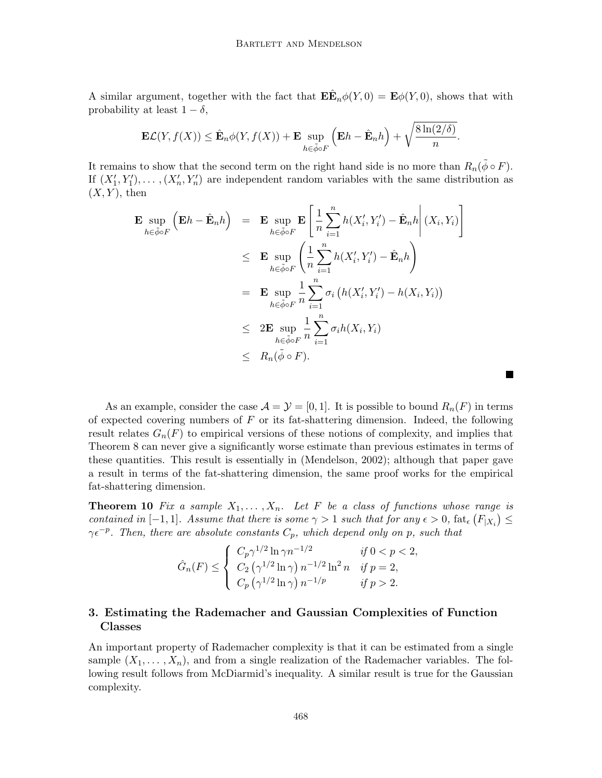A similar argument, together with the fact that  $\mathbf{E}\mathbf{E}_n\phi(Y,0) = \mathbf{E}\phi(Y,0)$ , shows that with probability at least  $1 - \delta$ ,

$$
\mathbf{E}\mathcal{L}(Y, f(X)) \leq \hat{\mathbf{E}}_n \phi(Y, f(X)) + \mathbf{E} \sup_{h \in \tilde{\phi} \circ F} \left( \mathbf{E} h - \hat{\mathbf{E}}_n h \right) + \sqrt{\frac{8 \ln(2/\delta)}{n}}.
$$

It remains to show that the second term on the right hand side is no more than  $R_n(\tilde{\phi} \circ F)$ . If  $(X'_1, Y'_1), \ldots, (X'_n, Y'_n)$  are independent random variables with the same distribution as  $(X, Y)$ , then

$$
\begin{aligned}\n\mathbf{E} \sup_{h \in \tilde{\phi} \circ F} \left( \mathbf{E} h - \hat{\mathbf{E}}_n h \right) &= \mathbf{E} \sup_{h \in \tilde{\phi} \circ F} \mathbf{E} \left[ \frac{1}{n} \sum_{i=1}^n h(X_i', Y_i') - \hat{\mathbf{E}}_n h \right] (X_i, Y_i) \\
&\leq \mathbf{E} \sup_{h \in \tilde{\phi} \circ F} \left( \frac{1}{n} \sum_{i=1}^n h(X_i', Y_i') - \hat{\mathbf{E}}_n h \right) \\
&= \mathbf{E} \sup_{h \in \tilde{\phi} \circ F} \frac{1}{n} \sum_{i=1}^n \sigma_i \left( h(X_i', Y_i') - h(X_i, Y_i) \right) \\
&\leq 2\mathbf{E} \sup_{h \in \tilde{\phi} \circ F} \frac{1}{n} \sum_{i=1}^n \sigma_i h(X_i, Y_i) \\
&\leq R_n(\tilde{\phi} \circ F).\n\end{aligned}
$$

As an example, consider the case  $\mathcal{A} = \mathcal{Y} = [0, 1]$ . It is possible to bound  $R_n(F)$  in terms of expected covering numbers of  $F$  or its fat-shattering dimension. Indeed, the following result relates  $G_n(F)$  to empirical versions of these notions of complexity, and implies that Theorem 8 can never give a significantly worse estimate than previous estimates in terms of these quantities. This result is essentially in (Mendelson, 2002); although that paper gave a result in terms of the fat-shattering dimension, the same proof works for the empirical fat-shattering dimension.

**The Second Second** 

**Theorem 10** Fix a sample  $X_1, \ldots, X_n$ . Let F be a class of functions whose range is contained in [-1,1]. Assume that there is some  $\gamma > 1$  such that for any  $\epsilon > 0$ ,  $\text{fat}_{\epsilon}(F_{|X_i}) \le$  $\gamma \epsilon^{-p}$ . Then, there are absolute constants  $C_p$ , which depend only on p, such that

$$
\hat{G}_n(F) \le \begin{cases}\nC_p \gamma^{1/2} \ln \gamma n^{-1/2} & \text{if } 0 < p < 2, \\
C_2 (\gamma^{1/2} \ln \gamma) n^{-1/2} \ln^2 n & \text{if } p = 2, \\
C_p (\gamma^{1/2} \ln \gamma) n^{-1/p} & \text{if } p > 2.\n\end{cases}
$$

# **3. Estimating the Rademacher and Gaussian Complexities of Function Classes**

An important property of Rademacher complexity is that it can be estimated from a single sample  $(X_1,\ldots,X_n)$ , and from a single realization of the Rademacher variables. The following result follows from McDiarmid's inequality. A similar result is true for the Gaussian complexity.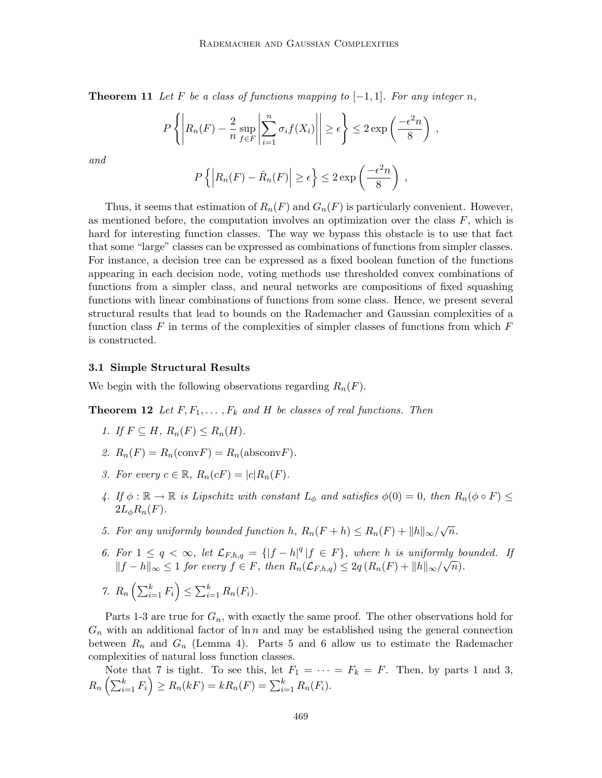**Theorem 11** Let F be a class of functions mapping to  $[-1, 1]$ . For any integer n,

$$
P\left\{ \left| R_n(F) - \frac{2}{n} \sup_{f \in F} \left| \sum_{i=1}^n \sigma_i f(X_i) \right| \right| \ge \epsilon \right\} \le 2 \exp\left(\frac{-\epsilon^2 n}{8}\right) ,
$$
  

$$
P\left\{ \left| P_n(F) - \hat{P}_n(F) \right| > \epsilon \right\} < 2 \exp\left(\frac{-\epsilon^2 n}{8}\right)
$$

and

$$
P\left\{ \left| R_n(F) - \hat{R}_n(F) \right| \ge \epsilon \right\} \le 2 \exp\left(\frac{-\epsilon^2 n}{8}\right) ,
$$

Thus, it seems that estimation of  $R_n(F)$  and  $G_n(F)$  is particularly convenient. However, as mentioned before, the computation involves an optimization over the class  $F$ , which is hard for interesting function classes. The way we bypass this obstacle is to use that fact that some "large" classes can be expressed as combinations of functions from simpler classes. For instance, a decision tree can be expressed as a fixed boolean function of the functions appearing in each decision node, voting methods use thresholded convex combinations of functions from a simpler class, and neural networks are compositions of fixed squashing functions with linear combinations of functions from some class. Hence, we present several structural results that lead to bounds on the Rademacher and Gaussian complexities of a function class F in terms of the complexities of simpler classes of functions from which  $F$ is constructed.

#### **3.1 Simple Structural Results**

We begin with the following observations regarding  $R_n(F)$ .

**Theorem 12** Let  $F, F_1, \ldots, F_k$  and H be classes of real functions. Then

- 1. If  $F \subseteq H$ ,  $R_n(F) \leq R_n(H)$ .
- 2.  $R_n(F) = R_n(\text{conv} F) = R_n(\text{absconv} F)$ .
- 3. For every  $c \in \mathbb{R}$ ,  $R_n(cF) = |c| R_n(F)$ .
- 4. If  $\phi : \mathbb{R} \to \mathbb{R}$  is Lipschitz with constant  $L_{\phi}$  and satisfies  $\phi(0) = 0$ , then  $R_n(\phi \circ F) \leq$  $2L_{\phi}R_n(F)$ .
- 5. For any uniformly bounded function h,  $R_n(F+h) \leq R_n(F) + ||h||_{\infty}/\sqrt{n}$ .
- 6. For  $1 \leq q < \infty$ , let  $\mathcal{L}_{F,h,q} = \{ |f-h|^q | f \in F \}$ , where h is uniformly bounded. If For  $1 \leq q < \infty$ , i.e.  $\mathcal{L}_{F,h,q} = \{ |J - h| | J \in F \}$ , where *n* is analoring or  $||f - h||_{\infty} \leq 1$  for every  $f \in F$ , then  $R_n(\mathcal{L}_{F,h,q}) \leq 2q(R_n(F) + ||h||_{\infty}/\sqrt{n})$ .

$$
\text{7. } R_n\left(\sum_{i=1}^k F_i\right) \leq \sum_{i=1}^k R_n(F_i).
$$

Parts 1-3 are true for  $G_n$ , with exactly the same proof. The other observations hold for  $G_n$  with an additional factor of  $\ln n$  and may be established using the general connection between  $R_n$  and  $G_n$  (Lemma 4). Parts 5 and 6 allow us to estimate the Rademacher complexities of natural loss function classes.

Note that 7 is tight. To see this, let  $F_1 = \cdots = F_k = F$ . Then, by parts 1 and 3,  $R_n\left(\sum_{i=1}^k F_i\right) \ge R_n(kF) = kR_n(F) = \sum_{i=1}^k R_n(F_i).$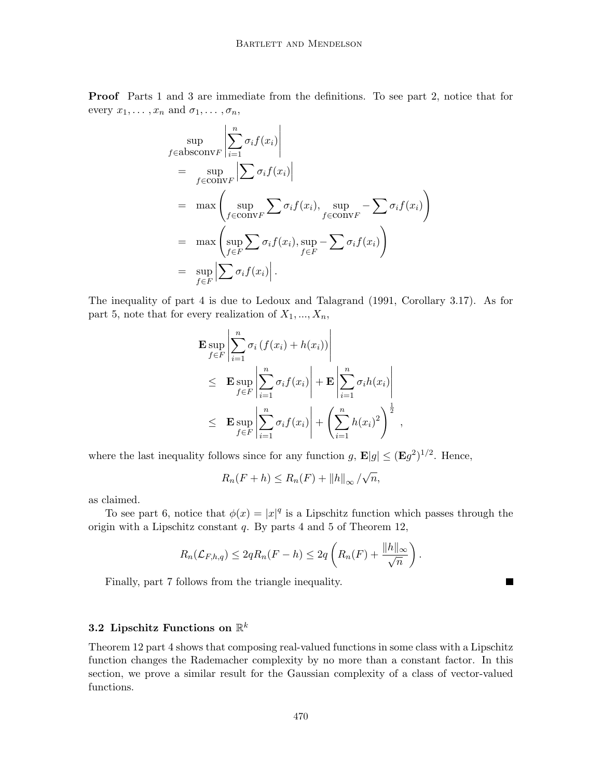**Proof** Parts 1 and 3 are immediate from the definitions. To see part 2, notice that for every  $x_1, \ldots, x_n$  and  $\sigma_1, \ldots, \sigma_n$ ,

$$
\sup_{f \in \text{absconv } F} \left| \sum_{i=1}^{n} \sigma_i f(x_i) \right|
$$
\n
$$
= \sup_{f \in \text{conv } F} \left| \sum_{i=1}^{n} \sigma_i f(x_i) \right|
$$
\n
$$
= \max \left( \sup_{f \in \text{conv } F} \sum_{f \in \text{conv } F} \sigma_i f(x_i), \sup_{f \in \text{conv } F} - \sum_{f \in F} \sigma_i f(x_i) \right)
$$
\n
$$
= \max \left( \sup_{f \in F} \sum_{f \in F} \sigma_i f(x_i), \sup_{f \in F} - \sum_{f \in F} \sigma_i f(x_i) \right)
$$
\n
$$
= \sup_{f \in F} \left| \sum_{f \in F} \sigma_i f(x_i) \right|.
$$

The inequality of part 4 is due to Ledoux and Talagrand (1991, Corollary 3.17). As for part 5, note that for every realization of  $X_1, ..., X_n$ ,

$$
\mathbf{E} \sup_{f \in F} \left| \sum_{i=1}^{n} \sigma_i \left( f(x_i) + h(x_i) \right) \right|
$$
\n
$$
\leq \mathbf{E} \sup_{f \in F} \left| \sum_{i=1}^{n} \sigma_i f(x_i) \right| + \mathbf{E} \left| \sum_{i=1}^{n} \sigma_i h(x_i) \right|
$$
\n
$$
\leq \mathbf{E} \sup_{f \in F} \left| \sum_{i=1}^{n} \sigma_i f(x_i) \right| + \left( \sum_{i=1}^{n} h(x_i)^2 \right)^{\frac{1}{2}},
$$

where the last inequality follows since for any function g,  $\mathbf{E}|g| \leq (\mathbf{E}g^2)^{1/2}$ . Hence,

$$
R_n(F+h) \le R_n(F) + ||h||_{\infty}/\sqrt{n},
$$

as claimed.

To see part 6, notice that  $\phi(x) = |x|^q$  is a Lipschitz function which passes through the origin with a Lipschitz constant q. By parts 4 and 5 of Theorem 12,

$$
R_n(\mathcal{L}_{F,h,q}) \leq 2qR_n(F-h) \leq 2q\left(R_n(F) + \frac{\|h\|_{\infty}}{\sqrt{n}}\right).
$$

П

Finally, part 7 follows from the triangle inequality.

## **3.2 Lipschitz Functions on** R<sup>k</sup>

Theorem 12 part 4 shows that composing real-valued functions in some class with a Lipschitz function changes the Rademacher complexity by no more than a constant factor. In this section, we prove a similar result for the Gaussian complexity of a class of vector-valued functions.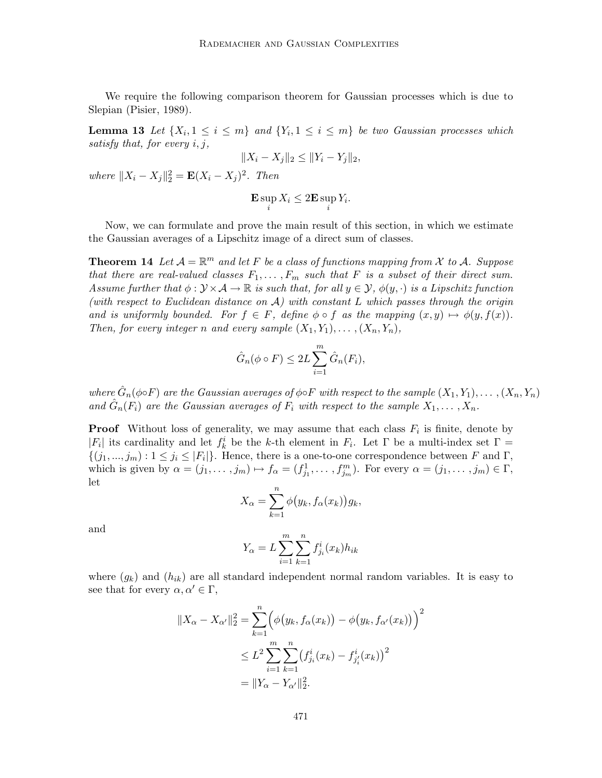We require the following comparison theorem for Gaussian processes which is due to Slepian (Pisier, 1989).

**Lemma 13** Let  $\{X_i, 1 \leq i \leq m\}$  and  $\{Y_i, 1 \leq i \leq m\}$  be two Gaussian processes which satisfy that, for every  $i, j$ ,

$$
||X_i - X_j||_2 \le ||Y_i - Y_j||_2,
$$

where  $||X_i - X_j||_2^2 = \mathbf{E}(X_i - X_j)^2$ . Then

$$
\mathbf{E} \sup_i X_i \le 2\mathbf{E} \sup_i Y_i.
$$

Now, we can formulate and prove the main result of this section, in which we estimate the Gaussian averages of a Lipschitz image of a direct sum of classes.

**Theorem 14** Let  $A = \mathbb{R}^m$  and let F be a class of functions mapping from X to A. Suppose that there are real-valued classes  $F_1, \ldots, F_m$  such that F is a subset of their direct sum. Assume further that  $\phi: \mathcal{Y} \times \mathcal{A} \to \mathbb{R}$  is such that, for all  $y \in \mathcal{Y}$ ,  $\phi(y, \cdot)$  is a Lipschitz function (with respect to Euclidean distance on  $A$ ) with constant L which passes through the origin and is uniformly bounded. For  $f \in F$ , define  $\phi \circ f$  as the mapping  $(x, y) \mapsto \phi(y, f(x))$ . Then, for every integer n and every sample  $(X_1, Y_1), \ldots, (X_n, Y_n)$ ,

$$
\hat{G}_n(\phi \circ F) \le 2L \sum_{i=1}^m \hat{G}_n(F_i),
$$

where  $\hat{G}_n(\phi \circ F)$  are the Gaussian averages of  $\phi \circ F$  with respect to the sample  $(X_1, Y_1), \ldots, (X_n, Y_n)$ and  $\hat{G}_n(F_i)$  are the Gaussian averages of  $F_i$  with respect to the sample  $X_1, \ldots, X_n$ .

**Proof** Without loss of generality, we may assume that each class  $F_i$  is finite, denote by | $F_i$ | its cardinality and let  $f_k^i$  be the k-th element in  $F_i$ . Let  $\Gamma$  be a multi-index set  $\Gamma =$  $\{(j_1,...,j_m):1\leq j_i\leq |F_i|\}.$  Hence, there is a one-to-one correspondence between F and  $\Gamma$ , which is given by  $\alpha = (j_1, \ldots, j_m) \mapsto f_\alpha = (f_{j_1}^1, \ldots, f_{j_m}^m)$ . For every  $\alpha = (j_1, \ldots, j_m) \in \Gamma$ , let

$$
X_{\alpha} = \sum_{k=1}^{n} \phi(y_k, f_{\alpha}(x_k)) g_k,
$$

and

$$
Y_{\alpha} = L \sum_{i=1}^{m} \sum_{k=1}^{n} f_{j_i}^{i}(x_k) h_{ik}
$$

where  $(g_k)$  and  $(h_{ik})$  are all standard independent normal random variables. It is easy to see that for every  $\alpha, \alpha' \in \Gamma$ ,

$$
||X_{\alpha} - X_{\alpha'}||_2^2 = \sum_{k=1}^n \left( \phi(y_k, f_{\alpha}(x_k)) - \phi(y_k, f_{\alpha'}(x_k)) \right)^2
$$
  

$$
\leq L^2 \sum_{i=1}^m \sum_{k=1}^n \left( f_{j_i}^i(x_k) - f_{j_i}'(x_k) \right)^2
$$
  

$$
= ||Y_{\alpha} - Y_{\alpha'}||_2^2.
$$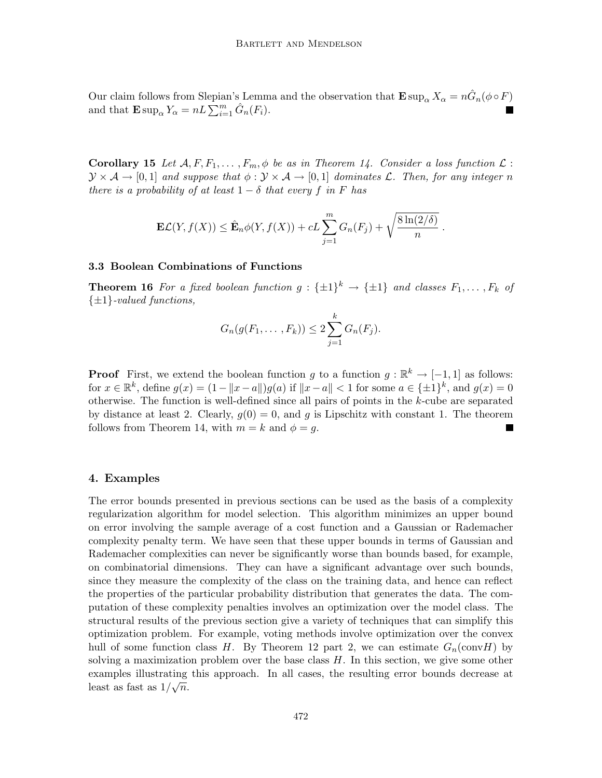Our claim follows from Slepian's Lemma and the observation that  $\mathbf{E} \sup_{\alpha} X_{\alpha} = n \hat{G}_n(\phi \circ F)$ and that  $\mathbf{E} \sup_{\alpha} Y_{\alpha} = nL \sum_{i=1}^{n} \hat{G}_n(F_i)$ .

**Corollary 15** Let  $\mathcal{A}, F, F_1, \ldots, F_m, \phi$  be as in Theorem 14. Consider a loss function  $\mathcal{L}$ :  $\mathcal{Y}\times\mathcal{A}\to[0,1]$  and suppose that  $\phi:\mathcal{Y}\times\mathcal{A}\to[0,1]$  dominates L. Then, for any integer n there is a probability of at least  $1 - \delta$  that every f in F has

$$
\mathbf{E}\mathcal{L}(Y, f(X)) \leq \hat{\mathbf{E}}_n \phi(Y, f(X)) + cL \sum_{j=1}^m G_n(F_j) + \sqrt{\frac{8\ln(2/\delta)}{n}}.
$$

#### **3.3 Boolean Combinations of Functions**

**Theorem 16** For a fixed boolean function  $g : {\pm 1}^k \to {\pm 1}$  and classes  $F_1, \ldots, F_k$  of  $\{\pm 1\}$ -valued functions,

$$
G_n(g(F_1, ..., F_k)) \leq 2\sum_{j=1}^k G_n(F_j).
$$

**Proof** First, we extend the boolean function g to a function  $g : \mathbb{R}^k \to [-1,1]$  as follows: for  $x \in \mathbb{R}^k$ , define  $g(x) = (1 - ||x - a||)g(a)$  if  $||x - a|| < 1$  for some  $a \in {\pm 1}^k$ , and  $g(x) = 0$ otherwise. The function is well-defined since all pairs of points in the k-cube are separated by distance at least 2. Clearly,  $g(0) = 0$ , and g is Lipschitz with constant 1. The theorem follows from Theorem 14, with  $m = k$  and  $\phi = q$ .

### **4. Examples**

The error bounds presented in previous sections can be used as the basis of a complexity regularization algorithm for model selection. This algorithm minimizes an upper bound on error involving the sample average of a cost function and a Gaussian or Rademacher complexity penalty term. We have seen that these upper bounds in terms of Gaussian and Rademacher complexities can never be significantly worse than bounds based, for example, on combinatorial dimensions. They can have a significant advantage over such bounds, since they measure the complexity of the class on the training data, and hence can reflect the properties of the particular probability distribution that generates the data. The computation of these complexity penalties involves an optimization over the model class. The structural results of the previous section give a variety of techniques that can simplify this optimization problem. For example, voting methods involve optimization over the convex hull of some function class H. By Theorem 12 part 2, we can estimate  $G_n(\text{conv}H)$  by solving a maximization problem over the base class  $H$ . In this section, we give some other examples illustrating this approach. In all cases, the resulting error bounds decrease at examples must at  $\log$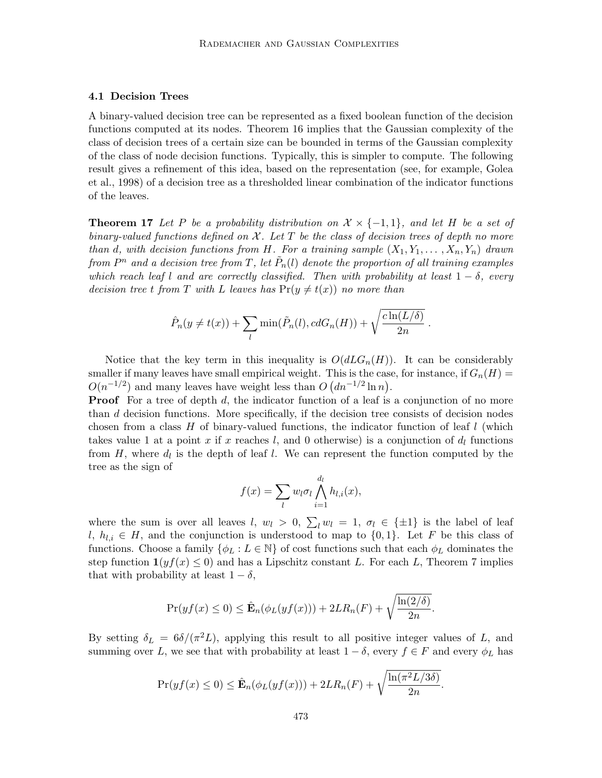#### **4.1 Decision Trees**

A binary-valued decision tree can be represented as a fixed boolean function of the decision functions computed at its nodes. Theorem 16 implies that the Gaussian complexity of the class of decision trees of a certain size can be bounded in terms of the Gaussian complexity of the class of node decision functions. Typically, this is simpler to compute. The following result gives a refinement of this idea, based on the representation (see, for example, Golea et al., 1998) of a decision tree as a thresholded linear combination of the indicator functions of the leaves.

**Theorem 17** Let P be a probability distribution on  $\mathcal{X} \times \{-1,1\}$ , and let H be a set of binary-valued functions defined on  $X$ . Let T be the class of decision trees of depth no more than d, with decision functions from H. For a training sample  $(X_1, Y_1, \ldots, X_n, Y_n)$  drawn from  $P^n$  and a decision tree from T, let  $\tilde{P}_n(l)$  denote the proportion of all training examples which reach leaf l and are correctly classified. Then with probability at least  $1 - \delta$ , every decision tree t from T with L leaves has  $Pr(y \neq t(x))$  no more than

$$
\hat{P}_n(y \neq t(x)) + \sum_l \min(\tilde{P}_n(l), cdG_n(H)) + \sqrt{\frac{c\ln(L/\delta)}{2n}}.
$$

Notice that the key term in this inequality is  $O(dLG_n(H))$ . It can be considerably smaller if many leaves have small empirical weight. This is the case, for instance, if  $G_n(H)$  =  $O(n^{-1/2})$  and many leaves have weight less than  $O(dn^{-1/2}\ln n)$ .

**Proof** For a tree of depth d, the indicator function of a leaf is a conjunction of no more than d decision functions. More specifically, if the decision tree consists of decision nodes chosen from a class  $H$  of binary-valued functions, the indicator function of leaf  $l$  (which takes value 1 at a point x if x reaches l, and 0 otherwise) is a conjunction of  $d_l$  functions from  $H$ , where  $d_l$  is the depth of leaf l. We can represent the function computed by the tree as the sign of

$$
f(x) = \sum_{l} w_l \sigma_l \bigwedge_{i=1}^{d_l} h_{l,i}(x),
$$

where the sum is over all leaves l,  $w_l > 0$ ,  $\sum_l w_l = 1$ ,  $\sigma_l \in {\pm 1}$  is the label of leaf l,  $h_{l,i} \in H$ , and the conjunction is understood to map to  $\{0,1\}$ . Let F be this class of functions. Choose a family  $\{\phi_L : L \in \mathbb{N}\}\$  of cost functions such that each  $\phi_L$  dominates the step function  $\mathbf{1}(yf(x) \leq 0)$  and has a Lipschitz constant L. For each L, Theorem 7 implies that with probability at least  $1 - \delta$ ,

$$
\Pr(yf(x) \le 0) \le \hat{\mathbf{E}}_n(\phi_L(yf(x))) + 2LR_n(F) + \sqrt{\frac{\ln(2/\delta)}{2n}}.
$$

By setting  $\delta_L = 6\delta/(\pi^2L)$ , applying this result to all positive integer values of L, and summing over L, we see that with probability at least  $1 - \delta$ , every  $f \in F$  and every  $\phi_L$  has

$$
\Pr(yf(x) \le 0) \le \hat{\mathbf{E}}_n(\phi_L(yf(x))) + 2LR_n(F) + \sqrt{\frac{\ln(\pi^2 L/3\delta)}{2n}}.
$$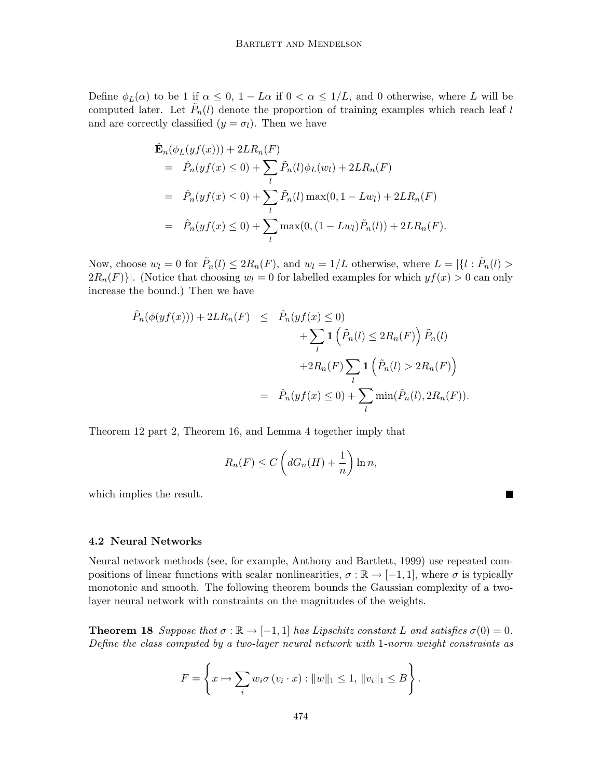Define  $\phi_L(\alpha)$  to be 1 if  $\alpha \leq 0$ ,  $1 - L\alpha$  if  $0 < \alpha \leq 1/L$ , and 0 otherwise, where L will be computed later. Let  $\tilde{P}_n(l)$  denote the proportion of training examples which reach leaf l and are correctly classified  $(y = \sigma_l)$ . Then we have

$$
\hat{\mathbf{E}}_n(\phi_L(yf(x))) + 2LR_n(F) \n= \hat{P}_n(yf(x) \le 0) + \sum_l \tilde{P}_n(l)\phi_L(w_l) + 2LR_n(F) \n= \hat{P}_n(yf(x) \le 0) + \sum_l \tilde{P}_n(l) \max(0, 1 - Lw_l) + 2LR_n(F) \n= \hat{P}_n(yf(x) \le 0) + \sum_l \max(0, (1 - Lw_l)\tilde{P}_n(l)) + 2LR_n(F).
$$

Now, choose  $w_l = 0$  for  $\tilde{P}_n(l) \leq 2R_n(F)$ , and  $w_l = 1/L$  otherwise, where  $L = |\{l : \tilde{P}_n(l) >$  $2R_n(F)$ . (Notice that choosing  $w_l = 0$  for labelled examples for which  $y_i(x) > 0$  can only increase the bound.) Then we have

$$
\hat{P}_n(\phi(yf(x))) + 2LR_n(F) \leq \hat{P}_n(yf(x) \leq 0) \n+ \sum_l \mathbf{1} \left( \tilde{P}_n(l) \leq 2R_n(F) \right) \tilde{P}_n(l) \n+ 2R_n(F) \sum_l \mathbf{1} \left( \tilde{P}_n(l) > 2R_n(F) \right) \n= \hat{P}_n(yf(x) \leq 0) + \sum_l \min(\tilde{P}_n(l), 2R_n(F)).
$$

Theorem 12 part 2, Theorem 16, and Lemma 4 together imply that

$$
R_n(F) \le C\left(dG_n(H) + \frac{1}{n}\right)\ln n,
$$

**The Second** 

which implies the result.

#### **4.2 Neural Networks**

Neural network methods (see, for example, Anthony and Bartlett, 1999) use repeated compositions of linear functions with scalar nonlinearities,  $\sigma : \mathbb{R} \to [-1, 1]$ , where  $\sigma$  is typically monotonic and smooth. The following theorem bounds the Gaussian complexity of a twolayer neural network with constraints on the magnitudes of the weights.

**Theorem 18** Suppose that  $\sigma : \mathbb{R} \to [-1, 1]$  has Lipschitz constant L and satisfies  $\sigma(0) = 0$ . Define the class computed by a two-layer neural network with 1-norm weight constraints as

$$
F = \left\{ x \mapsto \sum_{i} w_i \sigma(v_i \cdot x) : ||w||_1 \le 1, ||v_i||_1 \le B \right\}.
$$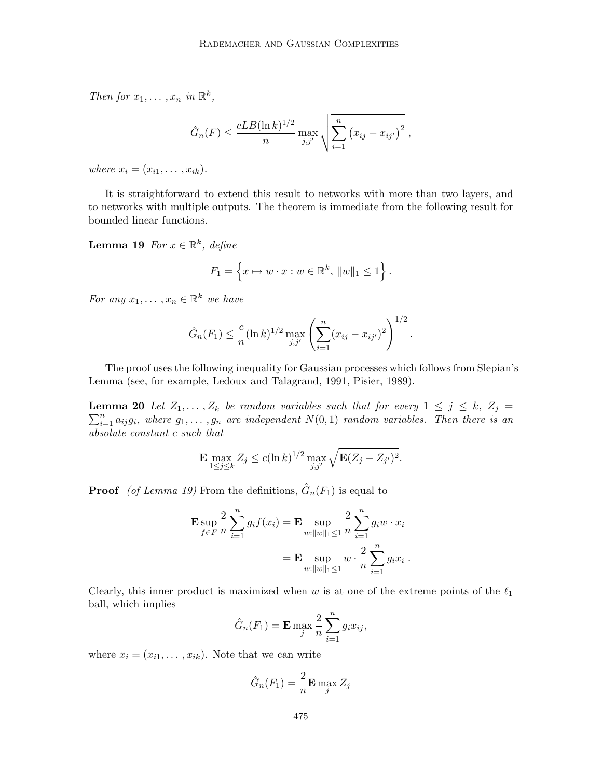Then for  $x_1, \ldots, x_n$  in  $\mathbb{R}^k$ ,

$$
\hat{G}_n(F) \leq \frac{cLB(\ln k)^{1/2}}{n} \max_{j,j'} \sqrt{\sum_{i=1}^n (x_{ij} - x_{ij'})^2}
$$
,

where  $x_i = (x_{i1}, \ldots, x_{ik}).$ 

It is straightforward to extend this result to networks with more than two layers, and to networks with multiple outputs. The theorem is immediate from the following result for bounded linear functions.

**Lemma 19** For  $x \in \mathbb{R}^k$ , define

$$
F_1 = \left\{ x \mapsto w \cdot x : w \in \mathbb{R}^k, ||w||_1 \le 1 \right\}.
$$

For any  $x_1, \ldots, x_n \in \mathbb{R}^k$  we have

$$
\hat{G}_n(F_1) \leq \frac{c}{n} (\ln k)^{1/2} \max_{j,j'} \left( \sum_{i=1}^n (x_{ij} - x_{ij'})^2 \right)^{1/2}.
$$

The proof uses the following inequality for Gaussian processes which follows from Slepian's Lemma (see, for example, Ledoux and Talagrand, 1991, Pisier, 1989).

**Lemma 20** Let  $Z_1, \ldots, Z_k$  be random variables such that for every  $1 \leq j \leq k$ ,  $Z_j = \sum_{i=1}^n z_i$  $\sum_{i=1}^{n} a_{ij}g_i$ , where  $g_1, \ldots, g_n$  are independent  $N(0, 1)$  random variables. Then there is an absolute constant c such that

$$
\mathbf{E} \max_{1 \le j \le k} Z_j \le c(\ln k)^{1/2} \max_{j,j'} \sqrt{\mathbf{E}(Z_j - Z_{j'})^2}.
$$

**Proof** (of Lemma 19) From the definitions,  $\hat{G}_n(F_1)$  is equal to

$$
\mathbf{E} \sup_{f \in F} \frac{2}{n} \sum_{i=1}^{n} g_i f(x_i) = \mathbf{E} \sup_{w: ||w||_1 \le 1} \frac{2}{n} \sum_{i=1}^{n} g_i w \cdot x_i
$$

$$
= \mathbf{E} \sup_{w: ||w||_1 \le 1} w \cdot \frac{2}{n} \sum_{i=1}^{n} g_i x_i .
$$

Clearly, this inner product is maximized when w is at one of the extreme points of the  $\ell_1$ ball, which implies

$$
\hat{G}_n(F_1) = \mathbf{E} \max_j \frac{2}{n} \sum_{i=1}^n g_i x_{ij},
$$

where  $x_i = (x_{i1}, \ldots, x_{ik})$ . Note that we can write

$$
\hat{G}_n(F_1) = \frac{2}{n} \mathbf{E} \max_j Z_j
$$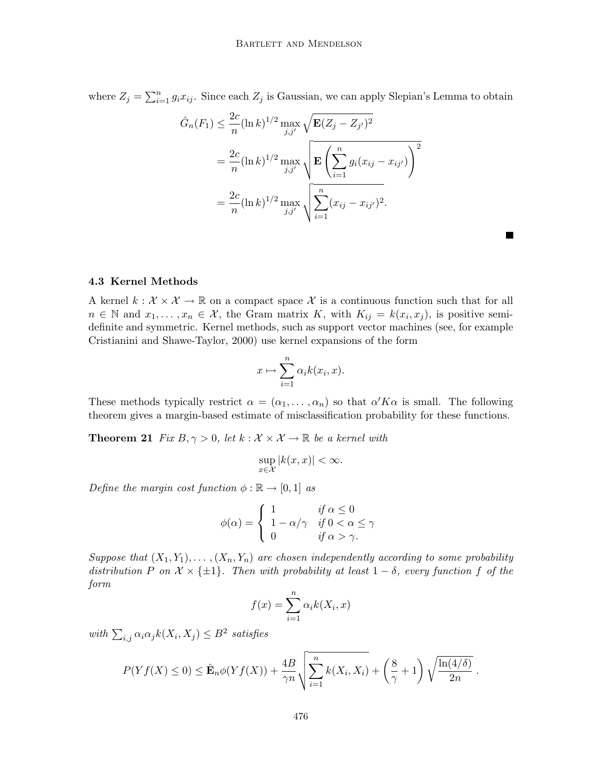where  $Z_j = \sum_{i=1}^n g_i x_{ij}$ . Since each  $Z_j$  is Gaussian, we can apply Slepian's Lemma to obtain

$$
\hat{G}_n(F_1) \leq \frac{2c}{n} (\ln k)^{1/2} \max_{j,j'} \sqrt{\mathbf{E}(Z_j - Z_{j'})^2}
$$
  
=  $\frac{2c}{n} (\ln k)^{1/2} \max_{j,j'} \sqrt{\mathbf{E}\left(\sum_{i=1}^n g_i (x_{ij} - x_{ij'})\right)^2}$   
=  $\frac{2c}{n} (\ln k)^{1/2} \max_{j,j'} \sqrt{\sum_{i=1}^n (x_{ij} - x_{ij'})^2}.$ 

#### **4.3 Kernel Methods**

A kernel  $k : \mathcal{X} \times \mathcal{X} \to \mathbb{R}$  on a compact space X is a continuous function such that for all  $n \in \mathbb{N}$  and  $x_1, \ldots, x_n \in \mathcal{X}$ , the Gram matrix K, with  $K_{ij} = k(x_i, x_j)$ , is positive semidefinite and symmetric. Kernel methods, such as support vector machines (see, for example Cristianini and Shawe-Taylor, 2000) use kernel expansions of the form

$$
x \mapsto \sum_{i=1}^{n} \alpha_i k(x_i, x).
$$

These methods typically restrict  $\alpha = (\alpha_1, \dots, \alpha_n)$  so that  $\alpha' K \alpha$  is small. The following theorem gives a margin-based estimate of misclassification probability for these functions.

**Theorem 21** Fix  $B, \gamma > 0$ , let  $k : \mathcal{X} \times \mathcal{X} \to \mathbb{R}$  be a kernel with

$$
\sup_{x \in \mathcal{X}} |k(x, x)| < \infty.
$$

Define the margin cost function  $\phi : \mathbb{R} \to [0,1]$  as

$$
\phi(\alpha) = \begin{cases} 1 & \text{if } \alpha \le 0 \\ 1 - \alpha/\gamma & \text{if } 0 < \alpha \le \gamma \\ 0 & \text{if } \alpha > \gamma. \end{cases}
$$

Suppose that  $(X_1, Y_1), \ldots, (X_n, Y_n)$  are chosen independently according to some probability distribution P on  $\mathcal{X} \times \{\pm 1\}$ . Then with probability at least  $1 - \delta$ , every function f of the form

$$
f(x) = \sum_{i=1}^{n} \alpha_i k(X_i, x)
$$

with  $\sum_{i,j} \alpha_i \alpha_j k(X_i, X_j) \leq B^2$  satisfies

$$
P(Yf(X) \leq 0) \leq \hat{\mathbf{E}}_n \phi(Yf(X)) + \frac{4B}{\gamma n} \sqrt{\sum_{i=1}^n k(X_i, X_i)} + \left(\frac{8}{\gamma} + 1\right) \sqrt{\frac{\ln(4/\delta)}{2n}}.
$$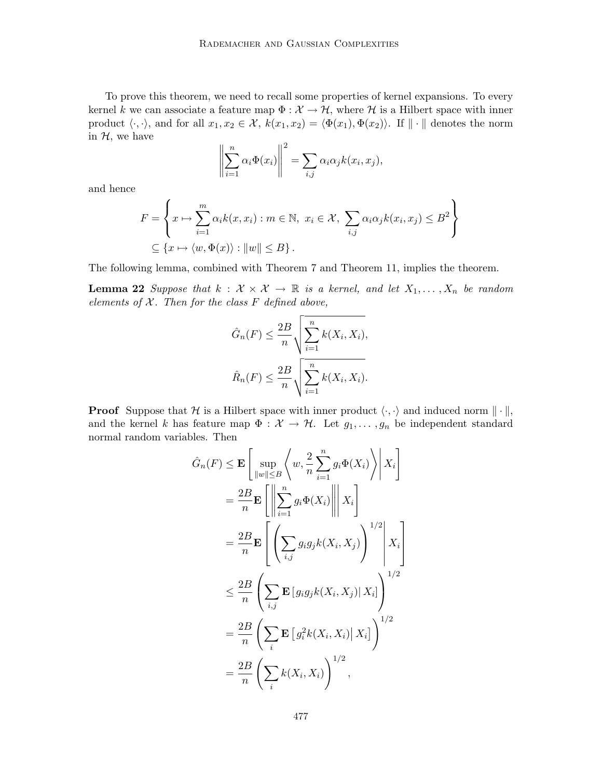To prove this theorem, we need to recall some properties of kernel expansions. To every kernel k we can associate a feature map  $\Phi : \mathcal{X} \to \mathcal{H}$ , where H is a Hilbert space with inner product  $\langle \cdot, \cdot \rangle$ , and for all  $x_1, x_2 \in \mathcal{X}$ ,  $k(x_1, x_2) = \langle \Phi(x_1), \Phi(x_2) \rangle$ . If  $\|\cdot\|$  denotes the norm in  $H$ , we have

$$
\left\| \sum_{i=1}^n \alpha_i \Phi(x_i) \right\|^2 = \sum_{i,j} \alpha_i \alpha_j k(x_i, x_j),
$$

and hence

$$
F = \left\{ x \mapsto \sum_{i=1}^{m} \alpha_i k(x, x_i) : m \in \mathbb{N}, x_i \in \mathcal{X}, \sum_{i,j} \alpha_i \alpha_j k(x_i, x_j) \leq B^2 \right\}
$$
  

$$
\subseteq \left\{ x \mapsto \langle w, \Phi(x) \rangle : ||w|| \leq B \right\}.
$$

The following lemma, combined with Theorem 7 and Theorem 11, implies the theorem.

**Lemma 22** Suppose that  $k : \mathcal{X} \times \mathcal{X} \rightarrow \mathbb{R}$  is a kernel, and let  $X_1, \ldots, X_n$  be random elements of  $X$ . Then for the class  $F$  defined above,

$$
\hat{G}_n(F) \le \frac{2B}{n} \sqrt{\sum_{i=1}^n k(X_i, X_i)},
$$

$$
\hat{R}_n(F) \le \frac{2B}{n} \sqrt{\sum_{i=1}^n k(X_i, X_i)}.
$$

**Proof** Suppose that H is a Hilbert space with inner product  $\langle \cdot, \cdot \rangle$  and induced norm  $\|\cdot\|$ , and the kernel k has feature map  $\Phi : \mathcal{X} \to \mathcal{H}$ . Let  $g_1, \ldots, g_n$  be independent standard normal random variables. Then

$$
\hat{G}_n(F) \leq \mathbf{E} \left[ \sup_{\|w\| \leq B} \left\langle w, \frac{2}{n} \sum_{i=1}^n g_i \Phi(X_i) \right\rangle \middle| X_i \right]
$$
  
\n
$$
= \frac{2B}{n} \mathbf{E} \left[ \left\| \sum_{i=1}^n g_i \Phi(X_i) \right\| \middle| X_i \right]
$$
  
\n
$$
= \frac{2B}{n} \mathbf{E} \left[ \left( \sum_{i,j} g_i g_j k(X_i, X_j) \right)^{1/2} \middle| X_i \right]
$$
  
\n
$$
\leq \frac{2B}{n} \left( \sum_{i,j} \mathbf{E} \left[ g_i g_j k(X_i, X_j) \middle| X_i \right] \right)^{1/2}
$$
  
\n
$$
= \frac{2B}{n} \left( \sum_{i} \mathbf{E} \left[ g_i^2 k(X_i, X_i) \middle| X_i \right] \right)^{1/2}
$$
  
\n
$$
= \frac{2B}{n} \left( \sum_{i} k(X_i, X_i) \right)^{1/2},
$$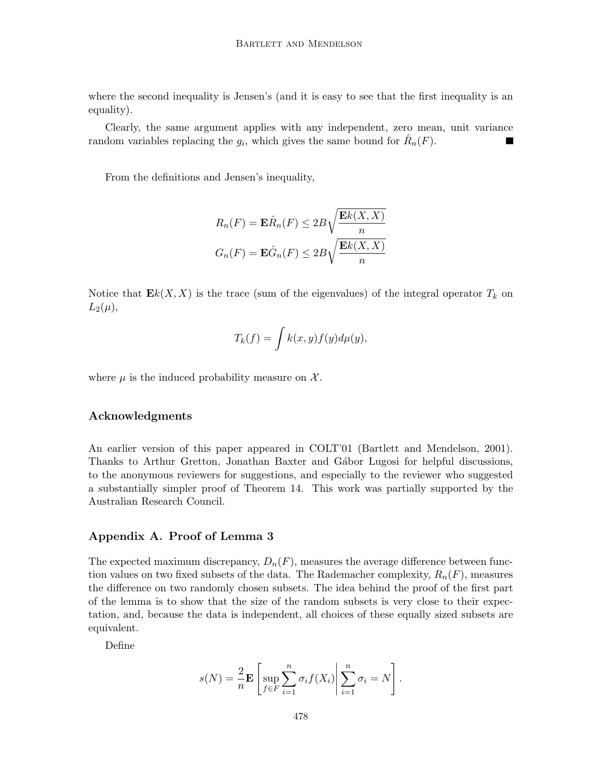where the second inequality is Jensen's (and it is easy to see that the first inequality is an equality).

Clearly, the same argument applies with any independent, zero mean, unit variance random variables replacing the  $g_i$ , which gives the same bound for  $\hat{R}_n(F)$ .

From the definitions and Jensen's inequality,

$$
R_n(F) = \mathbf{E}\hat{R}_n(F) \le 2B\sqrt{\frac{\mathbf{E}k(X,X)}{n}}
$$

$$
G_n(F) = \mathbf{E}\hat{G}_n(F) \le 2B\sqrt{\frac{\mathbf{E}k(X,X)}{n}}
$$

Notice that  $\mathbf{E}k(X, X)$  is the trace (sum of the eigenvalues) of the integral operator  $T_k$  on  $L_2(\mu),$ 

$$
T_k(f) = \int k(x, y) f(y) d\mu(y),
$$

where  $\mu$  is the induced probability measure on  $\mathcal{X}$ .

#### **Acknowledgments**

An earlier version of this paper appeared in COLT'01 (Bartlett and Mendelson, 2001). Thanks to Arthur Gretton, Jonathan Baxter and Gábor Lugosi for helpful discussions, to the anonymous reviewers for suggestions, and especially to the reviewer who suggested a substantially simpler proof of Theorem 14. This work was partially supported by the Australian Research Council.

#### **Appendix A. Proof of Lemma 3**

The expected maximum discrepancy,  $D_n(F)$ , measures the average difference between function values on two fixed subsets of the data. The Rademacher complexity,  $R_n(F)$ , measures the difference on two randomly chosen subsets. The idea behind the proof of the first part of the lemma is to show that the size of the random subsets is very close to their expectation, and, because the data is independent, all choices of these equally sized subsets are equivalent.

Define

$$
s(N) = \frac{2}{n} \mathbf{E} \left[ \sup_{f \in F} \sum_{i=1}^{n} \sigma_i f(X_i) \middle| \sum_{i=1}^{n} \sigma_i = N \right].
$$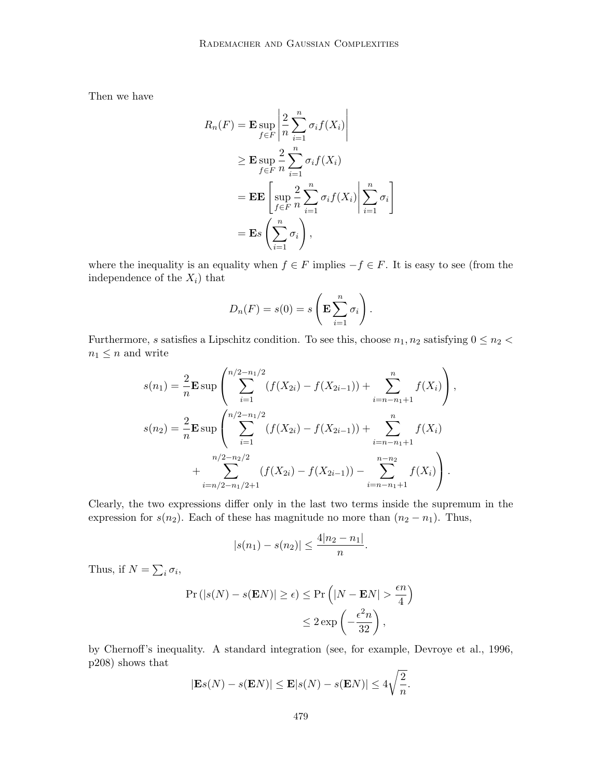Then we have

$$
R_n(F) = \mathbf{E} \sup_{f \in F} \left| \frac{2}{n} \sum_{i=1}^n \sigma_i f(X_i) \right|
$$
  
\n
$$
\geq \mathbf{E} \sup_{f \in F} \frac{2}{n} \sum_{i=1}^n \sigma_i f(X_i)
$$
  
\n
$$
= \mathbf{E} \mathbf{E} \left[ \sup_{f \in F} \frac{2}{n} \sum_{i=1}^n \sigma_i f(X_i) \middle| \sum_{i=1}^n \sigma_i \right]
$$
  
\n
$$
= \mathbf{E} s \left( \sum_{i=1}^n \sigma_i \right),
$$

where the inequality is an equality when  $f \in F$  implies  $-f \in F$ . It is easy to see (from the independence of the  $X_i$ ) that

$$
D_n(F) = s(0) = s\left(\mathbf{E} \sum_{i=1}^n \sigma_i\right).
$$

Furthermore, s satisfies a Lipschitz condition. To see this, choose  $n_1, n_2$  satisfying  $0 \leq n_2$  <  $n_1 \leq n$  and write

$$
s(n_1) = \frac{2}{n} \mathbf{E} \sup \left( \sum_{i=1}^{n/2 - n_1/2} (f(X_{2i}) - f(X_{2i-1})) + \sum_{i=n-n_1+1}^{n} f(X_i) \right),
$$
  

$$
s(n_2) = \frac{2}{n} \mathbf{E} \sup \left( \sum_{i=1}^{n/2 - n_1/2} (f(X_{2i}) - f(X_{2i-1})) + \sum_{i=n-n_1+1}^{n} f(X_i) \right)
$$
  

$$
+ \sum_{i=n/2-n_1/2+1}^{n/2 - n_2/2} (f(X_{2i}) - f(X_{2i-1})) - \sum_{i=n-n_1+1}^{n-n_2} f(X_i) \right).
$$

Clearly, the two expressions differ only in the last two terms inside the supremum in the expression for  $s(n_2)$ . Each of these has magnitude no more than  $(n_2 - n_1)$ . Thus,

$$
|s(n_1) - s(n_2)| \le \frac{4|n_2 - n_1|}{n}.
$$

Thus, if  $N = \sum_i \sigma_i$ ,

$$
\Pr(|s(N) - s(\mathbf{E}N)| \ge \epsilon) \le \Pr(|N - \mathbf{E}N| > \frac{\epsilon n}{4})
$$
  

$$
\le 2 \exp\left(-\frac{\epsilon^2 n}{32}\right),
$$

by Chernoff's inequality. A standard integration (see, for example, Devroye et al., 1996, p208) shows that

$$
|\mathbf{E}s(N) - s(\mathbf{E}N)| \le \mathbf{E}|s(N) - s(\mathbf{E}N)| \le 4\sqrt{\frac{2}{n}}.
$$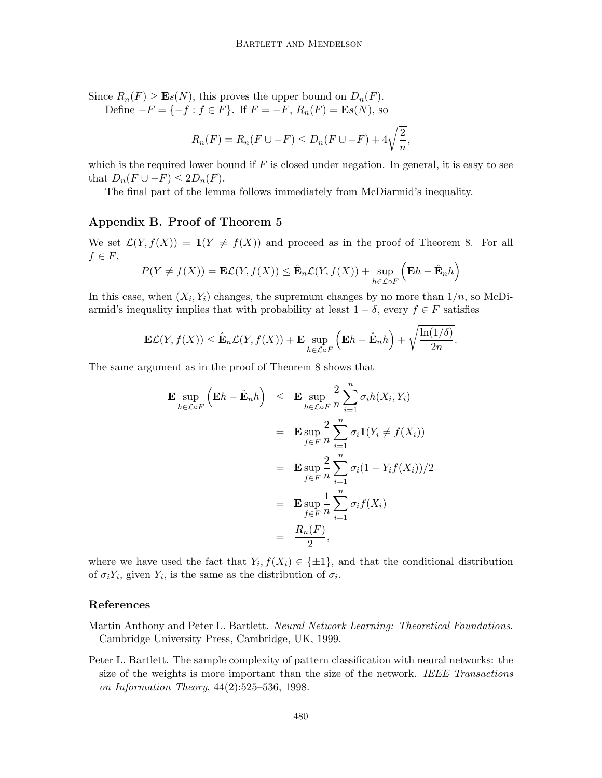Since  $R_n(F) \geq \mathbf{E}s(N)$ , this proves the upper bound on  $D_n(F)$ .

Define  $-F = \{-f : f \in F\}$ . If  $F = -F$ ,  $R_n(F) = \mathbf{E}s(N)$ , so

$$
R_n(F) = R_n(F \cup -F) \le D_n(F \cup -F) + 4\sqrt{\frac{2}{n}},
$$

which is the required lower bound if  $F$  is closed under negation. In general, it is easy to see that  $D_n(F \cup -F) \leq 2D_n(F)$ .

The final part of the lemma follows immediately from McDiarmid's inequality.

## **Appendix B. Proof of Theorem 5**

We set  $\mathcal{L}(Y, f(X)) = \mathbf{1}(Y \neq f(X))$  and proceed as in the proof of Theorem 8. For all  $f \in F$ ,

$$
P(Y \neq f(X)) = \mathbf{E}\mathcal{L}(Y, f(X)) \leq \hat{\mathbf{E}}_n \mathcal{L}(Y, f(X)) + \sup_{h \in \mathcal{L} \circ F} \left( \mathbf{E}h - \hat{\mathbf{E}}_n h \right)
$$

In this case, when  $(X_i, Y_i)$  changes, the supremum changes by no more than  $1/n$ , so McDiarmid's inequality implies that with probability at least  $1 - \delta$ , every  $f \in F$  satisfies

$$
\mathbf{E}\mathcal{L}(Y, f(X)) \leq \hat{\mathbf{E}}_n \mathcal{L}(Y, f(X)) + \mathbf{E} \sup_{h \in \mathcal{L} \circ F} \left( \mathbf{E} h - \hat{\mathbf{E}}_n h \right) + \sqrt{\frac{\ln(1/\delta)}{2n}}.
$$

The same argument as in the proof of Theorem 8 shows that

$$
\mathbf{E} \sup_{h \in \mathcal{L} \circ F} \left( \mathbf{E} h - \hat{\mathbf{E}}_n h \right) \leq \mathbf{E} \sup_{h \in \mathcal{L} \circ F} \frac{2}{n} \sum_{i=1}^n \sigma_i h(X_i, Y_i)
$$
  
\n
$$
= \mathbf{E} \sup_{f \in F} \frac{2}{n} \sum_{i=1}^n \sigma_i \mathbf{1}(Y_i \neq f(X_i))
$$
  
\n
$$
= \mathbf{E} \sup_{f \in F} \frac{2}{n} \sum_{i=1}^n \sigma_i (1 - Y_i f(X_i)) / 2
$$
  
\n
$$
= \mathbf{E} \sup_{f \in F} \frac{1}{n} \sum_{i=1}^n \sigma_i f(X_i)
$$
  
\n
$$
= \frac{R_n(F)}{2},
$$

where we have used the fact that  $Y_i, f(X_i) \in \{\pm 1\}$ , and that the conditional distribution of  $\sigma_i Y_i$ , given  $Y_i$ , is the same as the distribution of  $\sigma_i$ .

## **References**

- Martin Anthony and Peter L. Bartlett. Neural Network Learning: Theoretical Foundations. Cambridge University Press, Cambridge, UK, 1999.
- Peter L. Bartlett. The sample complexity of pattern classification with neural networks: the size of the weights is more important than the size of the network. IEEE Transactions on Information Theory, 44(2):525–536, 1998.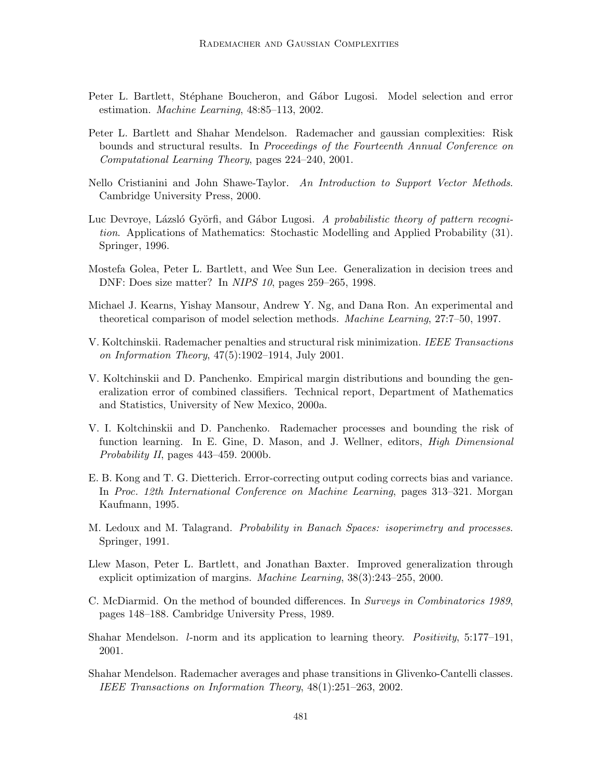- Peter L. Bartlett, Stéphane Boucheron, and Gábor Lugosi. Model selection and error estimation. Machine Learning, 48:85–113, 2002.
- Peter L. Bartlett and Shahar Mendelson. Rademacher and gaussian complexities: Risk bounds and structural results. In Proceedings of the Fourteenth Annual Conference on Computational Learning Theory, pages 224–240, 2001.
- Nello Cristianini and John Shawe-Taylor. An Introduction to Support Vector Methods. Cambridge University Press, 2000.
- Luc Devroye, Lázsló Györfi, and Gábor Lugosi. A probabilistic theory of pattern recognition. Applications of Mathematics: Stochastic Modelling and Applied Probability (31). Springer, 1996.
- Mostefa Golea, Peter L. Bartlett, and Wee Sun Lee. Generalization in decision trees and DNF: Does size matter? In NIPS 10, pages 259–265, 1998.
- Michael J. Kearns, Yishay Mansour, Andrew Y. Ng, and Dana Ron. An experimental and theoretical comparison of model selection methods. Machine Learning, 27:7–50, 1997.
- V. Koltchinskii. Rademacher penalties and structural risk minimization. IEEE Transactions on Information Theory, 47(5):1902–1914, July 2001.
- V. Koltchinskii and D. Panchenko. Empirical margin distributions and bounding the generalization error of combined classifiers. Technical report, Department of Mathematics and Statistics, University of New Mexico, 2000a.
- V. I. Koltchinskii and D. Panchenko. Rademacher processes and bounding the risk of function learning. In E. Gine, D. Mason, and J. Wellner, editors, High Dimensional Probability II, pages 443–459. 2000b.
- E. B. Kong and T. G. Dietterich. Error-correcting output coding corrects bias and variance. In Proc. 12th International Conference on Machine Learning, pages 313–321. Morgan Kaufmann, 1995.
- M. Ledoux and M. Talagrand. *Probability in Banach Spaces: isoperimetry and processes*. Springer, 1991.
- Llew Mason, Peter L. Bartlett, and Jonathan Baxter. Improved generalization through explicit optimization of margins. Machine Learning, 38(3):243–255, 2000.
- C. McDiarmid. On the method of bounded differences. In Surveys in Combinatorics 1989, pages 148–188. Cambridge University Press, 1989.
- Shahar Mendelson. *l*-norm and its application to learning theory. *Positivity*, 5:177–191, 2001.
- Shahar Mendelson. Rademacher averages and phase transitions in Glivenko-Cantelli classes. IEEE Transactions on Information Theory, 48(1):251–263, 2002.